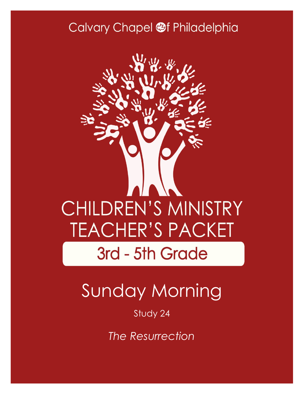### Calvary Chapel @f Philadelphia



# Sunday Morning

#### Study 24

*The Resurrection*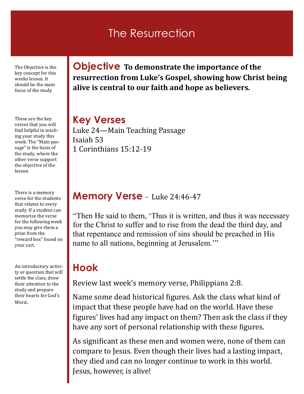#### The Resurrection

The Objective is the key concept for this weeks lesson. It should be the main focus of the study

These are the key verses that you will find helpful in teaching your study this week. The "Main passage" is the basis of the study, where the other verse support the objective of the lesson.

There is a memory verse for the students that relates to every study. If a student can memorize the verse for the following week you may give them a prize from the "reward box" found on your cart.

An introductory activity or question that will settle the class, draw their attention to the study and prepare their hearts for God's Word.

**Objective To demonstrate the importance of the resurrection from Luke's Gospel, showing how Christ being alive is central to our faith and hope as believers.**

#### **Key Verses**

Luke 24—Main Teaching Passage Isaiah 53 1 Corinthians 15:12-19

#### **Memory Verse** - Luke 24:46-47

"Then He said to them, 'Thus it is written, and thus it was necessary for the Christ to suffer and to rise from the dead the third day, and that repentance and remission of sins should be preached in His name to all nations, beginning at Jerusalem."

#### **Hook**

Review last week's memory verse, Philippians 2:8.

Name some dead historical figures. Ask the class what kind of impact that these people have had on the world. Have these figures' lives had any impact on them? Then ask the class if they have any sort of personal relationship with these figures.

As significant as these men and women were, none of them can compare to Jesus. Even though their lives had a lasting impact, they died and can no longer continue to work in this world. Jesus, however, is alive!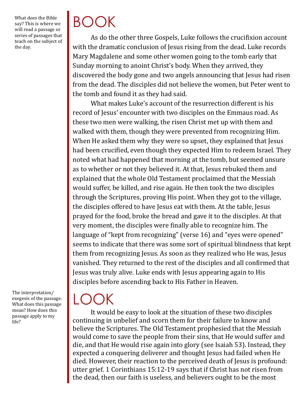What does the Bible say? This is where we will read a passage or series of passages that teach on the subject of the day.

## BOOK

As do the other three Gospels, Luke follows the crucifixion account with the dramatic conclusion of Jesus rising from the dead. Luke records Mary Magdalene and some other women going to the tomb early that Sunday morning to anoint Christ's body. When they arrived, they discovered the body gone and two angels announcing that Jesus had risen from the dead. The disciples did not believe the women, but Peter went to the tomb and found it as they had said.

What makes Luke's account of the resurrection different is his record of Jesus' encounter with two disciples on the Emmaus road. As these two men were walking, the risen Christ met up with them and walked with them, though they were prevented from recognizing Him. When He asked them why they were so upset, they explained that Jesus had been crucified, even though they expected Him to redeem Israel. They noted what had happened that morning at the tomb, but seemed unsure as to whether or not they believed it. At that, Jesus rebuked them and explained that the whole Old Testament proclaimed that the Messiah would suffer, be killed, and rise again. He then took the two disciples through the Scriptures, proving His point. When they got to the village, the disciples offered to have Jesus eat with them. At the table, Jesus prayed for the food, broke the bread and gave it to the disciples. At that very moment, the disciples were finally able to recognize him. The language of "kept from recognizing" (verse 16) and "eyes were opened" seems to indicate that there was some sort of spiritual blindness that kept them from recognizing Jesus. As soon as they realized who He was, Jesus vanished. They returned to the rest of the disciples and all confirmed that Jesus was truly alive. Luke ends with Jesus appearing again to His disciples before ascending back to His Father in Heaven.

The interpretation/ exegesis of the passage. What does this passage mean? How does this passage apply to my life?

## $\overline{\phantom{a}}$

It would be easy to look at the situation of these two disciples continuing in unbelief and scorn them for their failure to know and believe the Scriptures. The Old Testament prophesied that the Messiah would come to save the people from their sins, that He would suffer and die, and that He would rise again into glory (see Isaiah 53). Instead, they expected a conquering deliverer and thought Jesus had failed when He died. However, their reaction to the perceived death of Jesus is profound: utter grief. 1 Corinthians 15:12-19 says that if Christ has not risen from the dead, then our faith is useless, and believers ought to be the most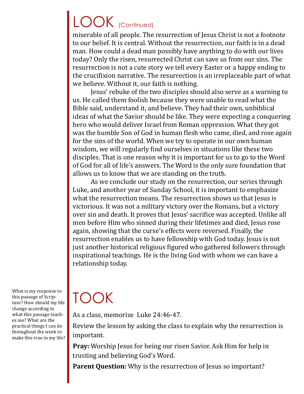### LOOK (Continued)

miserable of all people. The resurrection of Jesus Christ is not a footnote to our belief. It is central. Without the resurrection, our faith is in a dead man. How could a dead man possibly have anything to do with our lives today? Only the risen, resurrected Christ can save us from our sins. The resurrection is not a cute story we tell every Easter or a happy ending to the crucifixion narrative. The resurrection is an irreplaceable part of what we believe. Without it, our faith is nothing.

Jesus' rebuke of the two disciples should also serve as a warning to us. He called them foolish because they were unable to read what the Bible said, understand it, and believe. They had their own, unbiblical ideas of what the Savior should be like. They were expecting a conquering hero who would deliver Israel from Roman oppression. What they got was the humble Son of God in human flesh who came, died, and rose again for the sins of the world. When we try to operate in our own human wisdom, we will regularly find ourselves in situations like these two disciples. That is one reason why it is important for us to go to the Word of God for all of life's answers. The Word is the only sure foundation that allows us to know that we are standing on the truth.

As we conclude our study on the resurrection, our series through Luke, and another year of Sunday School, it is important to emphasize what the resurrection means. The resurrection shows us that Jesus is victorious. It was not a military victory over the Romans, but a victory over sin and death. It proves that Jesus' sacrifice was accepted. Unlike all men before Him who sinned during their lifetimes and died, Jesus rose again, showing that the curse's effects were reversed. Finally, the resurrection enables us to have fellowship with God today. Jesus is not just another historical religious figured who gathered followers through inspirational teachings. He is the living God with whom we can have a relationship today.

What is my response to this passage of Scripture? How should my life change according to what this passage teaches me? What are the practical things I can do throughout the week to make this true in my life?

## TOOK

As a class, memorize Luke 24:46-47.

Review the lesson by asking the class to explain why the resurrection is important.

**Pray:** Worship Jesus for being our risen Savior. Ask Him for help in trusting and believing God's Word.

**Parent Question:** Why is the resurrection of Jesus so important?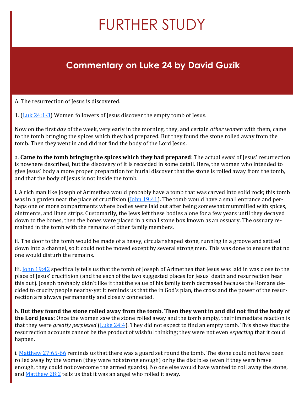## FURTHER STUDY

#### **Commentary on Luke 24 by David Guzik**

A. The resurrection of Jesus is discovered.

1. [\(Luk 24:1](https://www.blueletterbible.org/kjv/luke/24/1-3/s_997001)-3) Women followers of Jesus discover the empty tomb of Jesus.

Now on the first *day* of the week, very early in the morning, they, and certain *other women* with them, came to the tomb bringing the spices which they had prepared. But they found the stone rolled away from the tomb. Then they went in and did not find the body of the Lord Jesus.

a. **Came to the tomb bringing the spices which they had prepared**: The actual *event* of Jesus' resurrection is nowhere described, but the discovery of it is recorded in some detail. Here, the women who intended to give Jesus' body a more proper preparation for burial discover that the stone is rolled away from the tomb, and that the body of Jesus is not inside the tomb.

i. A rich man like Joseph of Arimethea would probably have a tomb that was carved into solid rock; this tomb was in a garden near the place of crucifixion ( $\frac{\text{John }19:41}{\text{The tomb}}$  would have a small entrance and perhaps one or more compartments where bodies were laid out after being somewhat mummified with spices, ointments, and linen strips. Customarily, the Jews left these bodies alone for a few years until they decayed down to the bones, then the bones were placed in a small stone box known as an ossuary. The ossuary remained in the tomb with the remains of other family members.

ii. The door to the tomb would be made of a heavy, circular shaped stone, running in a groove and settled down into a channel, so it could not be moved except by several strong men. This was done to ensure that no one would disturb the remains.

iii. **John 19:42** specifically tells us that the tomb of Joseph of Arimethea that Jesus was laid in was close to the place of Jesus' crucifixion (and the each of the two suggested places for Jesus' death and resurrection bear this out). Joseph probably didn't like it that the value of his family tomb decreased because the Romans decided to crucify people nearby-yet it reminds us that the in God's plan, the cross and the power of the resurrection are always permanently and closely connected.

b. **But they found the stone rolled away from the tomb. Then they went in and did not find the body of the Lord Jesus**: Once the women saw the stone rolled away and the tomb empty, their immediate reaction is that they were *greatly perplexed* ([Luke 24:4\)](https://www.blueletterbible.org/kjv/luke/24/4/s_997004). They did not expect to find an empty tomb. This shows that the resurrection accounts cannot be the product of wishful thinking; they were not even *expecting* that it could happen.

i. [Matthew 27:65](https://www.blueletterbible.org/kjv/matthew/27/65-66/s_956065)-66 reminds us that there was a guard set round the tomb. The stone could not have been rolled away by the women (they were not strong enough) or by the disciples (even if they were brave enough, they could not overcome the armed guards). No one else would have wanted to roll away the stone, and [Matthew 28:2](https://www.blueletterbible.org/kjv/matthew/28/2/s_957002) tells us that it was an angel who rolled it away.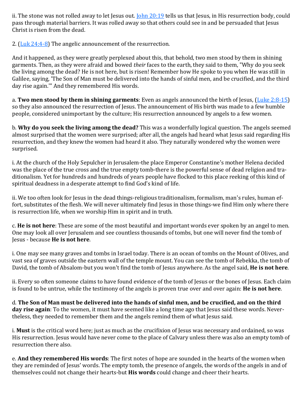ii. The stone was not rolled away to let Jesus out. *[John 20:19](https://www.blueletterbible.org/kjv/john/20/19/s_1017019)* tells us that Jesus, in His resurrection body, could pass through material barriers. It was rolled away so that others could see in and be persuaded that Jesus Christ is risen from the dead.

2. ([Luk 24:4](https://www.blueletterbible.org/kjv/luke/24/4-8/s_997004)-8) The angelic announcement of the resurrection.

And it happened, as they were greatly perplexed about this, that behold, two men stood by them in shining garments. Then, as they were afraid and bowed *their* faces to the earth, they said to them, "Why do you seek the living among the dead? He is not here, but is risen! Remember how He spoke to you when He was still in Galilee, saying, 'The Son of Man must be delivered into the hands of sinful men, and be crucified, and the third day rise again.'" And they remembered His words.

a. **Two men stood by them in shining garments**: Even as angels announced the birth of Jesus, [\(Luke 2:8](https://www.blueletterbible.org/kjv/luke/2/8-15/s_975008)-15) so they also announced the resurrection of Jesus. The announcement of His birth was made to a few humble people, considered unimportant by the culture; His resurrection announced by angels to a few women.

b. **Why do you seek the living among the dead?** This was a wonderfully logical question. The angels seemed almost surprised that the women were surprised; after all, the angels had heard what Jesus said regarding His resurrection, and they knew the women had heard it also. They naturally wondered why the women were surprised.

i. At the church of the Holy Sepulcher in Jerusalem-the place Emperor Constantine's mother Helena decided was the place of the true cross and the true empty tomb-there is the powerful sense of dead religion and traditionalism. Yet for hundreds and hundreds of years people have flocked to this place reeking of this kind of spiritual deadness in a desperate attempt to find God's kind of life.

ii. We too often look for Jesus in the dead things-religious traditionalism, formalism, man's rules, human effort, substitutes of the flesh. We will never ultimately find Jesus in those things-we find Him only where there is resurrection life, when we worship Him in spirit and in truth.

c. **He is not here**: These are some of the most beautiful and important words ever spoken by an angel to men. One may look all over Jerusalem and see countless thousands of tombs, but one will never find the tomb of Jesus - because **He is not here**.

i. One may see many graves and tombs in Israel today. There is an ocean of tombs on the Mount of Olives, and vast sea of graves outside the eastern wall of the temple mount. You can see the tomb of Rebekka, the tomb of David, the tomb of Absalom-but you won't find the tomb of Jesus anywhere. As the angel said, **He is not here**.

ii. Every so often someone claims to have found evidence of the tomb of Jesus or the bones of Jesus. Each claim is found to be untrue, while the testimony of the angels is proven true over and over again: **He is not here**.

d. **The Son of Man must be delivered into the hands of sinful men, and be crucified, and on the third day rise again**: To the women, it must have seemed like a long time ago that Jesus said these words. Nevertheless, they needed to remember them and the angels remind them of what Jesus said.

i. **Must** is the critical word here; just as much as the crucifixion of Jesus was necessary and ordained, so was His resurrection. Jesus would have never come to the place of Calvary unless there was also an empty tomb of resurrection there also.

e. **And they remembered His words**: The first notes of hope are sounded in the hearts of the women when they are reminded of Jesus' words. The empty tomb, the presence of angels, the words of the angels in and of themselves could not change their hearts-but **His words** could change and cheer their hearts.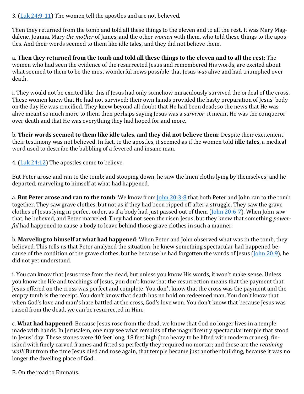3. ([Luk 24:9](https://www.blueletterbible.org/kjv/luke/24/9-11/s_997009)-11) The women tell the apostles and are not believed.

Then they returned from the tomb and told all these things to the eleven and to all the rest. It was Mary Magdalene, Joanna, Mary *the mother* of James, and the other *women* with them, who told these things to the apostles. And their words seemed to them like idle tales, and they did not believe them.

a. **Then they returned from the tomb and told all these things to the eleven and to all the rest**: The women who had seen the evidence of the resurrected Jesus and remembered His words, are excited about what seemed to them to be the most wonderful news possible-that Jesus *was* alive and had triumphed over death.

i. They would not be excited like this if Jesus had only somehow miraculously survived the ordeal of the cross. These women knew that He had not survived; their own hands provided the hasty preparation of Jesus' body on the day He was crucified. They knew beyond all doubt that He had been dead; so the news that He was alive meant so much more to them then perhaps saying Jesus was a *survivor*; it meant He was the conqueror over death and that He was everything they had hoped for and more.

b. **Their words seemed to them like idle tales, and they did not believe them**: Despite their excitement, their testimony was not believed. In fact, to the apostles, it seemed as if the women told **idle tales**, a medical word used to describe the babbling of a fevered and insane man.

4. ([Luk 24:12\)](https://www.blueletterbible.org/kjv/luke/24/12/s_997012) The apostles come to believe.

But Peter arose and ran to the tomb; and stooping down, he saw the linen cloths lying by themselves; and he departed, marveling to himself at what had happened.

a. **But Peter arose and ran to the tomb**: We know from [John 20:3](https://www.blueletterbible.org/kjv/john/20/3-8/s_1017003)-8 that both Peter and John ran to the tomb together. They saw grave clothes, but not as if they had been ripped off after a struggle. They saw the grave clothes of Jesus lying in perfect order, as if a body had just passed out of them ([John 20:6](https://www.blueletterbible.org/kjv/john/20/6-7/s_1017006)-7). When John saw that, he believed, and Peter marveled. They had not seen the risen Jesus, but they knew that something *powerful* had happened to cause a body to leave behind those grave clothes in such a manner.

b. **Marveling to himself at what had happened**: When Peter and John observed what was in the tomb, they believed. This tells us that Peter analyzed the situation; he knew something spectacular had happened be-cause of the condition of the grave clothes, but he because he had forgotten the words of Jesus ([John 20:9\),](https://www.blueletterbible.org/kjv/john/20/9/s_1017009) he did not yet understand.

i. You can know that Jesus rose from the dead, but unless you know His words, it won't make sense. Unless you know the life and teachings of Jesus, you don't know that the resurrection means that the payment that Jesus offered on the cross was perfect and complete. You don't know that the cross was the payment and the empty tomb is the receipt. You don't know that death has no hold on redeemed man. You don't know that when God's love and man's hate battled at the cross, God's love won. You don't know that because Jesus was raised from the dead, we can be resurrected in Him.

c. **What had happened**: Because Jesus rose from the dead, we know that God no longer lives in a temple made with hands. In Jerusalem, one may see what remains of the magnificently spectacular temple that stood in Jesus' day. These stones were 40 feet long, 18 feet high (too heavy to be lifted with modern cranes), finished with finely carved frames and fitted so perfectly they required no mortar; and these are the *retaining wall!* But from the time Jesus died and rose again, that temple became just another building, because it was no longer the dwelling place of God.

B. On the road to Emmaus.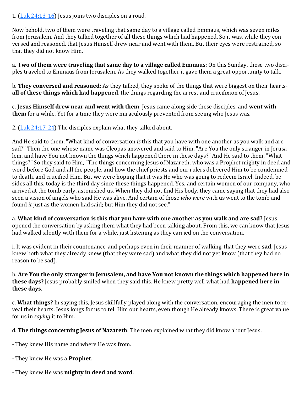1.  $(\underline{\text{Luk } 24:13-16})$  Jesus joins two disciples on a road.

Now behold, two of them were traveling that same day to a village called Emmaus, which was seven miles from Jerusalem. And they talked together of all these things which had happened. So it was, while they conversed and reasoned, that Jesus Himself drew near and went with them. But their eyes were restrained, so that they did not know Him.

a. **Two of them were traveling that same day to a village called Emmaus**: On this Sunday, these two disciples traveled to Emmaus from Jerusalem. As they walked together it gave them a great opportunity to talk.

b. **They conversed and reasoned**: As they talked, they spoke of the things that were biggest on their hearts**all of these things which had happened**, the things regarding the arrest and crucifixion of Jesus.

c. **Jesus Himself drew near and went with them**: Jesus came along side these disciples, and **went with them** for a while. Yet for a time they were miraculously prevented from seeing who Jesus was.

2.  $(\underline{\text{Luk } 24:17-24})$  The disciples explain what they talked about.

And He said to them, "What kind of conversation *is* this that you have with one another as you walk and are sad?" Then the one whose name was Cleopas answered and said to Him, "Are You the only stranger in Jerusalem, and have You not known the things which happened there in these days?" And He said to them, "What things?" So they said to Him, "The things concerning Jesus of Nazareth, who was a Prophet mighty in deed and word before God and all the people, and how the chief priests and our rulers delivered Him to be condemned to death, and crucified Him. But we were hoping that it was He who was going to redeem Israel. Indeed, besides all this, today is the third day since these things happened. Yes, and certain women of our company, who arrived at the tomb early, astonished us. When they did not find His body, they came saying that they had also seen a vision of angels who said He was alive. And certain of those *who were* with us went to the tomb and found *it* just as the women had said; but Him they did not see."

a. **What kind of conversation is this that you have with one another as you walk and are sad?** Jesus opened the conversation by asking them what they had been talking about. From this, we can know that Jesus had walked silently with them for a while, just listening as they carried on the conversation.

i. It was evident in their countenance-and perhaps even in their manner of walking-that they were **sad**. Jesus knew both what they already knew (that they were sad) and what they did not yet know (that they had no reason to be sad).

b. **Are You the only stranger in Jerusalem, and have You not known the things which happened here in these days?** Jesus probably smiled when they said this. He knew pretty well what had **happened here in these days**.

c. **What things?** In saying this, Jesus skillfully played along with the conversation, encouraging the men to reveal their hearts. Jesus longs for us to tell Him our hearts, even though He already knows. There is great value for us in *saying* it to Him.

d. **The things concerning Jesus of Nazareth**: The men explained what they did know about Jesus.

- They knew His name and where He was from.

- They knew He was a **Prophet**.

- They knew He was **mighty in deed and word**.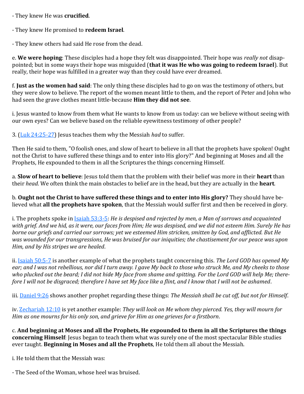- They knew He was **crucified**.

- They knew He promised to **redeem Israel**.

- They knew others had said He rose from the dead.

e. **We were hoping**: These disciples had a hope they felt was disappointed. Their hope was *really not* disappointed; but in some ways their hope was misguided (**that it was He who was going to redeem Israel**). But really, their hope was fulfilled in a greater way than they could have ever dreamed.

f. **Just as the women had said**: The only thing these disciples had to go on was the testimony of others, but they were slow to believe. The report of the women meant little to them, and the report of Peter and John who had seen the grave clothes meant little-because **Him they did not see**.

i. Jesus wanted to know from them what He wants to know from us today: can we believe without seeing with our own eyes? Can we believe based on the reliable eyewitness testimony of other people?

3. ([Luk 24:25](https://www.blueletterbible.org/kjv/luke/24/25-27/s_997025)-27) Jesus teaches them why the Messiah *had* to suffer.

Then He said to them, "O foolish ones, and slow of heart to believe in all that the prophets have spoken! Ought not the Christ to have suffered these things and to enter into His glory?" And beginning at Moses and all the Prophets, He expounded to them in all the Scriptures the things concerning Himself.

a. **Slow of heart to believe**: Jesus told them that the problem with their belief was more in their **heart** than their *head*. We often think the main obstacles to belief are in the head, but they are actually in the **heart**.

b. **Ought not the Christ to have suffered these things and to enter into His glory?** They should have believed what **all the prophets have spoken**, that the Messiah would suffer first and then be received in glory.

i. The prophets spoke in [Isaiah 53:3](https://www.blueletterbible.org/kjv/isaiah/53/3-5/s_732003)-5: *He is despised and rejected by men, a Man of sorrows and acquainted with grief. And we hid, as it were, our faces from Him; He was despised, and we did not esteem Him. Surely He has borne our griefs and carried our sorrows; yet we esteemed Him stricken, smitten by God, and afflicted. But He was wounded for our transgressions, He was bruised for our iniquities; the chastisement for our peace was upon Him, and by His stripes we are healed*.

ii. [Isaiah 50:5](https://www.blueletterbible.org/kjv/isaiah/50/5-7/s_729005)-7 is another example of what the prophets taught concerning this. *The Lord GOD has opened My ear; and I was not rebellious, nor did I turn away. I gave My back to those who struck Me, and My cheeks to those who plucked out the beard; I did not hide My face from shame and spitting. For the Lord GOD will help Me; therefore I will not be disgraced; therefore I have set My face like a flint, and I know that I will not be ashamed*.

iii. [Daniel 9:26](https://www.blueletterbible.org/kjv/daniel/9/26/s_859026) shows another prophet regarding these things: *The Messiah shall be cut off, but not for Himself*.

iv. [Zechariah 12:10](https://www.blueletterbible.org/kjv/zechariah/12/10/s_923010) is yet another example: *They will look on Me whom they pierced. Yes, they will mourn for Him as one mourns for his only son, and grieve for Him as one grieves for a firstborn*.

c. **And beginning at Moses and all the Prophets, He expounded to them in all the Scriptures the things concerning Himself**: Jesus began to teach them what was surely one of the most spectacular Bible studies ever taught. **Beginning in Moses and all the Prophets**, He told them all about the Messiah.

i. He told them that the Messiah was:

- The Seed of the Woman, whose heel was bruised.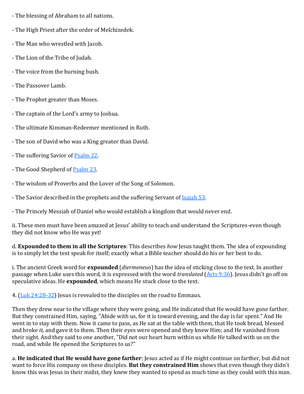- The blessing of Abraham to all nations.
- The High Priest after the order of Melchizedek.
- The Man who wrestled with Jacob.
- The Lion of the Tribe of Judah.
- The voice from the burning bush.
- The Passover Lamb.
- The Prophet greater than Moses.
- The captain of the Lord's army to Joshua.
- The ultimate Kinsman-Redeemer mentioned in Ruth.
- The son of David who was a King greater than David.
- The suffering Savior of **[Psalm 22.](https://www.blueletterbible.org/kjv/psalms/22/1-31/s_500001)**
- The Good Shepherd of Psalm 23.
- The wisdom of Proverbs and the Lover of the Song of Solomon.
- The Savior described in the prophets and the suffering Servant of Isaiah 53.
- The Princely Messiah of Daniel who would establish a kingdom that would never end.

ii. These men must have been amazed at Jesus' ability to teach and understand the Scriptures-even though they did not know who He was yet!

d. **Expounded to them in all the Scriptures**: This describes *how* Jesus taught them. The idea of expounding is to simply let the text speak for itself; exactly what a Bible teacher should do his or her best to do.

i. The ancient Greek word for **expounded** (*diermeneuo*) has the idea of sticking close to the text. In another passage when Luke uses this word, it is expressed with the word *translated* [\(Acts 9:36\)](https://www.blueletterbible.org/kjv/acts/9/36/s_1027036). Jesus didn't go off on speculative ideas. He **expounded**, which means He stuck close to the text.

4. ([Luk 24:28](https://www.blueletterbible.org/kjv/luke/24/28-32/s_997028)-32) Jesus is revealed to the disciples on the road to Emmaus.

Then they drew near to the village where they were going, and He indicated that He would have gone farther. But they constrained Him, saying, "Abide with us, for it is toward evening, and the day is far spent." And He went in to stay with them. Now it came to pass, as He sat at the table with them, that He took bread, blessed and broke *it,* and gave it to them. Then their eyes were opened and they knew Him; and He vanished from their sight. And they said to one another, "Did not our heart burn within us while He talked with us on the road, and while He opened the Scriptures to us?"

a. **He indicated that He would have gone farther**: Jesus acted as if He might continue on farther, but did not want to force His company on these disciples. **But they constrained Him** shows that even though they didn't know this was Jesus in their midst, they knew they wanted to spend as much time as they could with this man.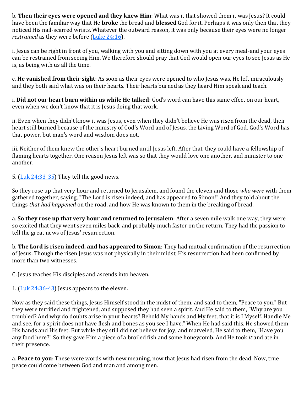b. **Then their eyes were opened and they knew Him**: What was it that showed them it was Jesus? It could have been the familiar way that He **broke** the bread and **blessed** God for it. Perhaps it was only then that they noticed His nail-scarred wrists. Whatever the outward reason, it was only because their eyes were no longer *restrained* as they were before ([Luke 24:16\).](https://www.blueletterbible.org/kjv/luke/24/16/s_997016)

i. Jesus can be right in front of you, walking with you and sitting down with you at every meal-and your eyes can be restrained from seeing Him. We therefore should pray that God would open our eyes to see Jesus as He is, as being with us all the time.

c. **He vanished from their sight**: As soon as their eyes were opened to who Jesus was, He left miraculously and they both said what was on their hearts. Their hearts burned as they heard Him speak and teach.

i. **Did not our heart burn within us while He talked**: God's word can have this same effect on our heart, even when we don't know that it is Jesus doing that work.

ii. Even when they didn't know it was Jesus, even when they didn't believe He was risen from the dead, their heart still burned because of the ministry of God's Word and of Jesus, the Living Word of God. God's Word has that power, but man's word and wisdom does not.

iii. Neither of them knew the other's heart burned until Jesus left. After that, they could have a fellowship of flaming hearts together. One reason Jesus left was so that they would love one another, and minister to one another.

5.  $(\underline{\text{Luk } 24:33-35})$  They tell the good news.

So they rose up that very hour and returned to Jerusalem, and found the eleven and those *who were* with them gathered together, saying, "The Lord is risen indeed, and has appeared to Simon!" And they told about the things *that had happened* on the road, and how He was known to them in the breaking of bread.

a. **So they rose up that very hour and returned to Jerusalem**: After a seven mile walk one way, they were so excited that they went seven miles back-and probably much faster on the return. They had the passion to tell the great news of Jesus' resurrection.

b. **The Lord is risen indeed, and has appeared to Simon**: They had mutual confirmation of the resurrection of Jesus. Though the risen Jesus was not physically in their midst, His resurrection had been confirmed by more than two witnesses.

C. Jesus teaches His disciples and ascends into heaven.

1.  $(\text{Luk } 24:36-43)$  Jesus appears to the eleven.

Now as they said these things, Jesus Himself stood in the midst of them, and said to them, "Peace to you." But they were terrified and frightened, and supposed they had seen a spirit. And He said to them, "Why are you troubled? And why do doubts arise in your hearts? Behold My hands and My feet, that it is I Myself. Handle Me and see, for a spirit does not have flesh and bones as you see I have." When He had said this, He showed them His hands and His feet. But while they still did not believe for joy, and marveled, He said to them, "Have you any food here?" So they gave Him a piece of a broiled fish and some honeycomb. And He took *it* and ate in their presence.

a. **Peace to you**: These were words with new meaning, now that Jesus had risen from the dead. Now, true peace could come between God and man and among men.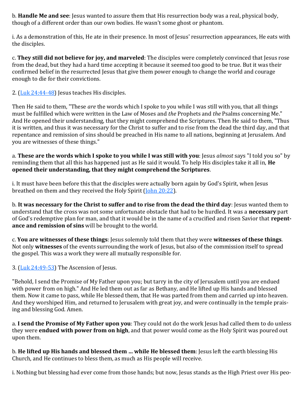b. **Handle Me and see**: Jesus wanted to assure them that His resurrection body was a real, physical body, though of a different order than our own bodies. He wasn't some ghost or phantom.

i. As a demonstration of this, He ate in their presence. In most of Jesus' resurrection appearances, He eats with the disciples.

c. **They still did not believe for joy, and marveled**: The disciples were completely convinced that Jesus rose from the dead, but they had a hard time accepting it because it seemed too good to be true. But it was their confirmed belief in the resurrected Jesus that give them power enough to change the world and courage enough to die for their convictions.

2. ([Luk 24:44](https://www.blueletterbible.org/kjv/luke/24/44-48/s_997044)-48) Jesus teaches His disciples.

Then He said to them, "These *are* the words which I spoke to you while I was still with you, that all things must be fulfilled which were written in the Law of Moses and *the* Prophets and *the* Psalms concerning Me." And He opened their understanding, that they might comprehend the Scriptures. Then He said to them, "Thus it is written, and thus it was necessary for the Christ to suffer and to rise from the dead the third day, and that repentance and remission of sins should be preached in His name to all nations, beginning at Jerusalem. And you are witnesses of these things."

a. **These are the words which I spoke to you while I was still with you**: Jesus *almost* says "I told you so" by reminding them that all this has happened just as He said it would. To help His disciples take it all in, **He opened their understanding, that they might comprehend the Scriptures**.

i. It must have been before this that the disciples were actually born again by God's Spirit, when Jesus breathed on them and they received the Holy Spirit [\(John 20:22\).](https://www.blueletterbible.org/kjv/john/20/22/s_1017022)

b. **It was necessary for the Christ to suffer and to rise from the dead the third day**: Jesus wanted them to understand that the cross was not some unfortunate obstacle that had to be hurdled. It was a **necessary** part of God's redemptive plan for man, and that it would be in the name of a crucified and risen Savior that **repentance and remission of sins** will be brought to the world.

c. **You are witnesses of these things**: Jesus solemnly told them that they were **witnesses of these things**. Not only **witnesses** of the events surrounding the work of Jesus, but also of the commission itself to spread the gospel. This was a work they were all mutually responsible for.

3. ([Luk 24:49](https://www.blueletterbible.org/kjv/luke/24/49-53/s_997049)-53) The Ascension of Jesus.

"Behold, I send the Promise of My Father upon you; but tarry in the city of Jerusalem until you are endued with power from on high." And He led them out as far as Bethany, and He lifted up His hands and blessed them. Now it came to pass, while He blessed them, that He was parted from them and carried up into heaven. And they worshiped Him, and returned to Jerusalem with great joy, and were continually in the temple praising and blessing God. Amen.

a. **I send the Promise of My Father upon you**: They could not do the work Jesus had called them to do unless they were **endued with power from on high**, and that power would come as the Holy Spirit was poured out upon them.

b. **He lifted up His hands and blessed them … while He blessed them**: Jesus left the earth blessing His Church, and He continues to bless them, as much as His people will receive.

i. Nothing but blessing had ever come from those hands; but now, Jesus stands as the High Priest over His peo-